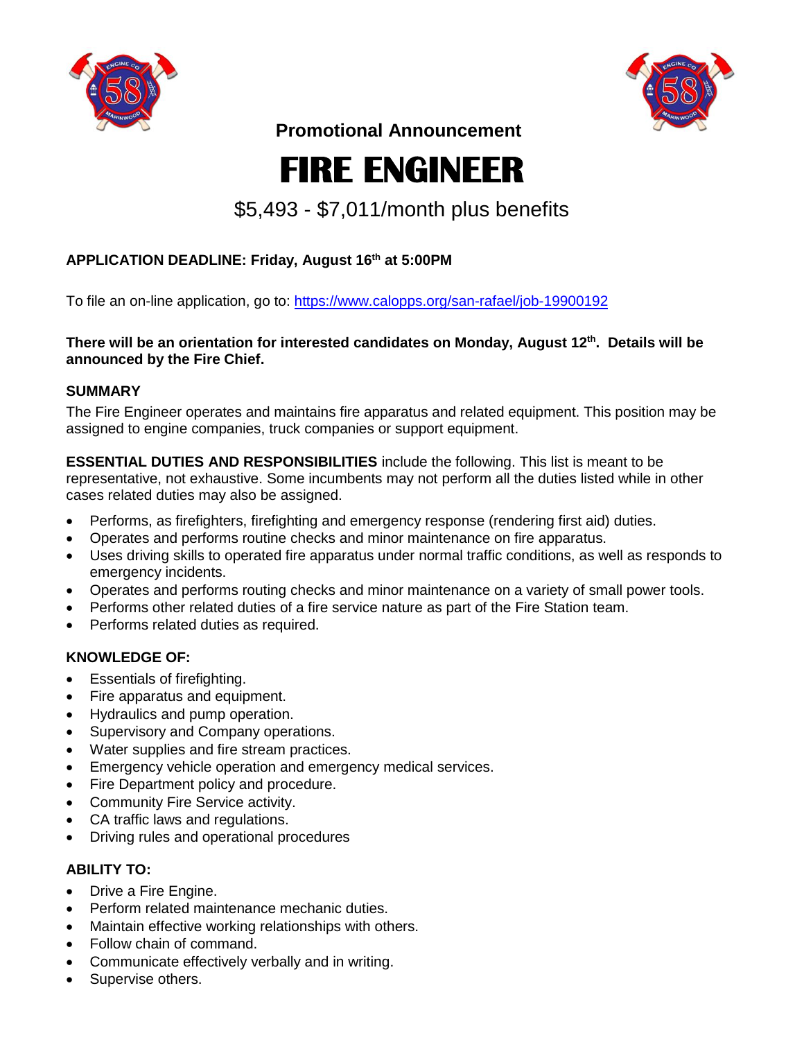



 **Promotional Announcement**

# **FIRE ENGINEER**

## \$5,493 - \$7,011/month plus benefits

### **APPLICATION DEADLINE: Friday, August 16th at 5:00PM**

To file an on-line application, go to: <https://www.calopps.org/san-rafael/job-19900192>

**There will be an orientation for interested candidates on Monday, August 12th . Details will be announced by the Fire Chief.**

#### **SUMMARY**

The Fire Engineer operates and maintains fire apparatus and related equipment. This position may be assigned to engine companies, truck companies or support equipment.

**ESSENTIAL DUTIES AND RESPONSIBILITIES** include the following. This list is meant to be representative, not exhaustive. Some incumbents may not perform all the duties listed while in other cases related duties may also be assigned.

- Performs, as firefighters, firefighting and emergency response (rendering first aid) duties.
- Operates and performs routine checks and minor maintenance on fire apparatus.
- Uses driving skills to operated fire apparatus under normal traffic conditions, as well as responds to emergency incidents.
- Operates and performs routing checks and minor maintenance on a variety of small power tools.
- Performs other related duties of a fire service nature as part of the Fire Station team.
- Performs related duties as required.

#### **KNOWLEDGE OF:**

- Essentials of firefighting.
- Fire apparatus and equipment.
- Hydraulics and pump operation.
- Supervisory and Company operations.
- Water supplies and fire stream practices.
- Emergency vehicle operation and emergency medical services.
- Fire Department policy and procedure.
- Community Fire Service activity.
- CA traffic laws and regulations.
- Driving rules and operational procedures

#### **ABILITY TO:**

- Drive a Fire Engine.
- Perform related maintenance mechanic duties.
- Maintain effective working relationships with others.
- Follow chain of command.
- Communicate effectively verbally and in writing.
- Supervise others.